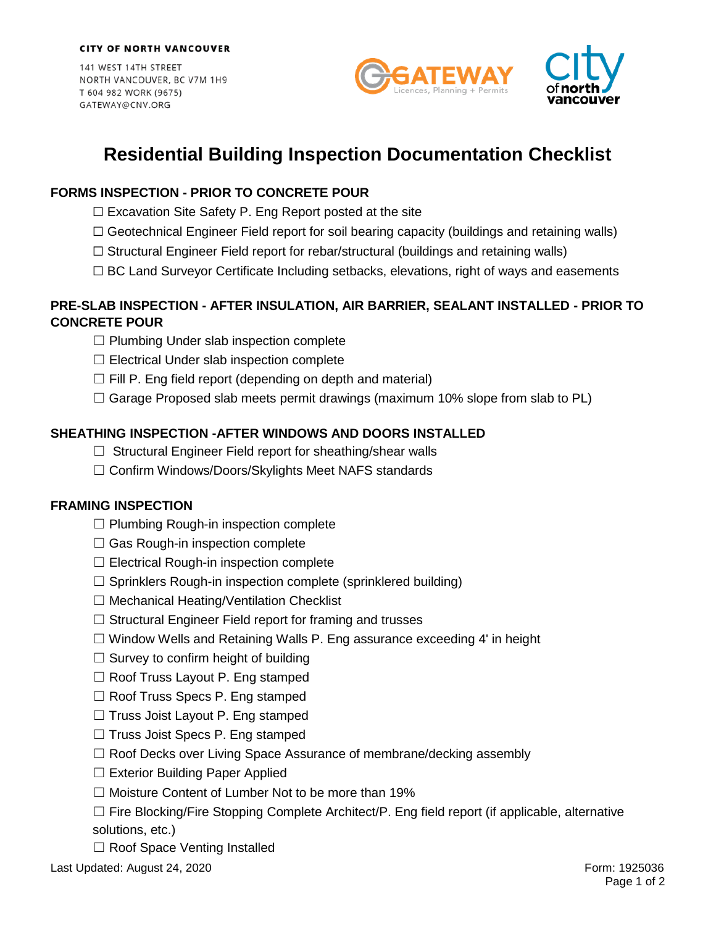141 WEST 14TH STREET NORTH VANCOUVER, BC V7M 1H9 T 604 982 WORK (9675) GATEWAY@CNV.ORG



# **Residential Building Inspection Documentation Checklist**

# **FORMS INSPECTION - PRIOR TO CONCRETE POUR**

- $\Box$  Excavation Site Safety P. Eng Report posted at the site
- ☐ Geotechnical Engineer Field report for soil bearing capacity (buildings and retaining walls)
- $\Box$  Structural Engineer Field report for rebar/structural (buildings and retaining walls)
- $\Box$  BC Land Surveyor Certificate Including setbacks, elevations, right of ways and easements

## **PRE-SLAB INSPECTION - AFTER INSULATION, AIR BARRIER, SEALANT INSTALLED - PRIOR TO CONCRETE POUR**

- ☐ Plumbing Under slab inspection complete
- $\Box$  Electrical Under slab inspection complete
- $\Box$  Fill P. Eng field report (depending on depth and material)
- $\Box$  Garage Proposed slab meets permit drawings (maximum 10% slope from slab to PL)

## **SHEATHING INSPECTION -AFTER WINDOWS AND DOORS INSTALLED**

- $\Box$  Structural Engineer Field report for sheathing/shear walls
- ☐ Confirm Windows/Doors/Skylights Meet NAFS standards

## **FRAMING INSPECTION**

- $\Box$  Plumbing Rough-in inspection complete
- $\Box$  Gas Rough-in inspection complete
- $\Box$  Electrical Rough-in inspection complete
- $\Box$  Sprinklers Rough-in inspection complete (sprinklered building)
- ☐ Mechanical Heating/Ventilation Checklist
- $\Box$  Structural Engineer Field report for framing and trusses
- $\Box$  Window Wells and Retaining Walls P. Eng assurance exceeding 4' in height
- $\Box$  Survey to confirm height of building
- $\Box$  Roof Truss Layout P. Eng stamped
- ☐ Roof Truss Specs P. Eng stamped
- □ Truss Joist Layout P. Eng stamped
- ☐ Truss Joist Specs P. Eng stamped
- ☐ Roof Decks over Living Space Assurance of membrane/decking assembly
- □ Exterior Building Paper Applied
- ☐ Moisture Content of Lumber Not to be more than 19%
- $\Box$  Fire Blocking/Fire Stopping Complete Architect/P. Eng field report (if applicable, alternative solutions, etc.)
- □ Roof Space Venting Installed